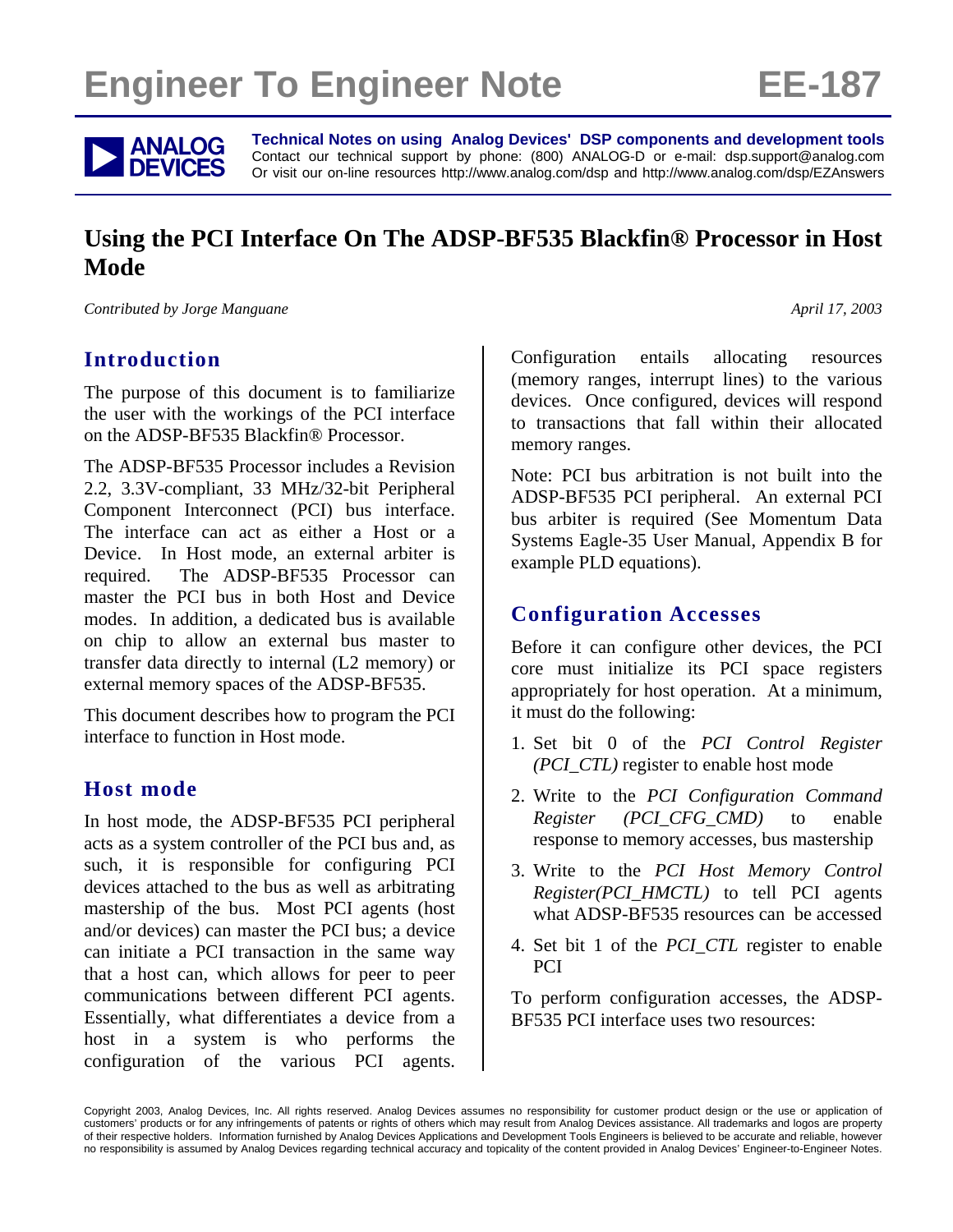# **Engineer To Engineer Note FE-187**

**ANALOG** Technical Notes on using Analog Devices' DSP components and development tools<br> **DEVICES** Or visit our on-line resources http://www.analog.com/dsp and http://www.analog.com/dsp/EZAnswers Contact our technical support by phone: (800) ANALOG-D or e-mail: dsp.support@analog.com Or visit our on-line resources http://www.analog.com/dsp and http://www.analog.com/dsp/EZAnswers

## **Using the PCI Interface On The ADSP-BF535 Blackfin® Processor in Host Mode**

*Contributed by Jorge Manguane April 17, 2003 April 17, 2003* 

### **Introduction**

The purpose of this document is to familiarize the user with the workings of the PCI interface on the ADSP-BF535 Blackfin® Processor.

The ADSP-BF535 Processor includes a Revision 2.2, 3.3V-compliant, 33 MHz/32-bit Peripheral Component Interconnect (PCI) bus interface. The interface can act as either a Host or a Device. In Host mode, an external arbiter is required. The ADSP-BF535 Processor can master the PCI bus in both Host and Device modes. In addition, a dedicated bus is available on chip to allow an external bus master to transfer data directly to internal (L2 memory) or external memory spaces of the ADSP-BF535.

This document describes how to program the PCI interface to function in Host mode.

### **Host mode**

In host mode, the ADSP-BF535 PCI peripheral acts as a system controller of the PCI bus and, as such, it is responsible for configuring PCI devices attached to the bus as well as arbitrating mastership of the bus. Most PCI agents (host and/or devices) can master the PCI bus; a device can initiate a PCI transaction in the same way that a host can, which allows for peer to peer communications between different PCI agents. Essentially, what differentiates a device from a host in a system is who performs the configuration of the various PCI agents. Configuration entails allocating resources (memory ranges, interrupt lines) to the various devices. Once configured, devices will respond to transactions that fall within their allocated memory ranges.

Note: PCI bus arbitration is not built into the ADSP-BF535 PCI peripheral. An external PCI bus arbiter is required (See Momentum Data Systems Eagle-35 User Manual, Appendix B for example PLD equations).

### **Configuration Accesses**

Before it can configure other devices, the PCI core must initialize its PCI space registers appropriately for host operation. At a minimum, it must do the following:

- 1. Set bit 0 of the *PCI Control Register (PCI\_CTL)* register to enable host mode
- 2. Write to the *PCI Configuration Command Register (PCI\_CFG\_CMD)* to enable response to memory accesses, bus mastership
- 3. Write to the *PCI Host Memory Control Register(PCI\_HMCTL)* to tell PCI agents what ADSP-BF535 resources can be accessed
- 4. Set bit 1 of the *PCI\_CTL* register to enable PCI

To perform configuration accesses, the ADSP-BF535 PCI interface uses two resources:

Copyright 2003, Analog Devices, Inc. All rights reserved. Analog Devices assumes no responsibility for customer product design or the use or application of customers' products or for any infringements of patents or rights of others which may result from Analog Devices assistance. All trademarks and logos are property of their respective holders. Information furnished by Analog Devices Applications and Development Tools Engineers is believed to be accurate and reliable, however no responsibility is assumed by Analog Devices regarding technical accuracy and topicality of the content provided in Analog Devices' Engineer-to-Engineer Notes.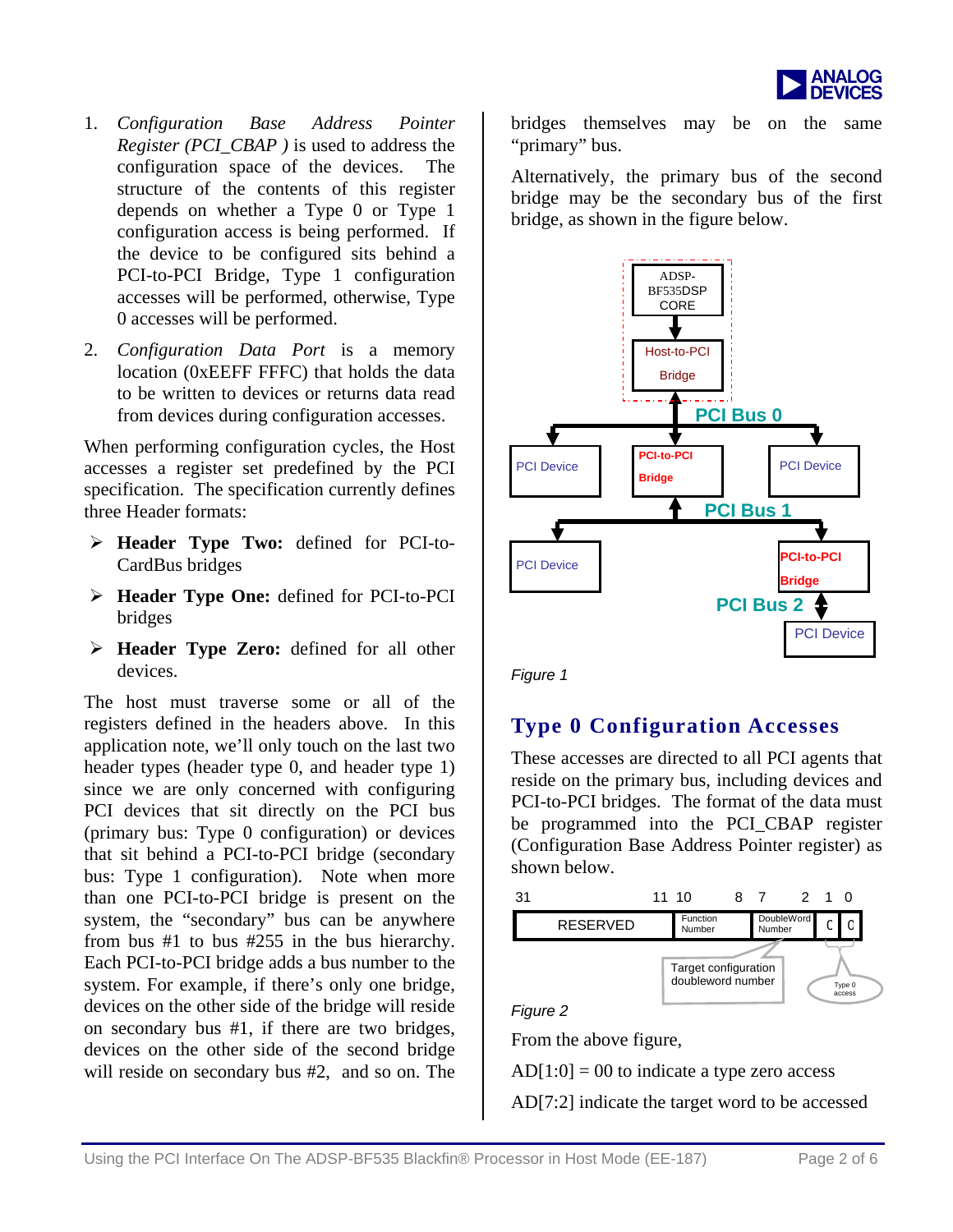

- 1. *Configuration Base Address Pointer Register (PCI\_CBAP )* is used to address the configuration space of the devices. The structure of the contents of this register depends on whether a Type 0 or Type 1 configuration access is being performed. If the device to be configured sits behind a PCI-to-PCI Bridge, Type 1 configuration accesses will be performed, otherwise, Type 0 accesses will be performed.
- 2. *Configuration Data Port* is a memory location (0xEEFF FFFC) that holds the data to be written to devices or returns data read from devices during configuration accesses.

When performing configuration cycles, the Host accesses a register set predefined by the PCI specification. The specification currently defines three Header formats:

- ¾ **Header Type Two:** defined for PCI-to-CardBus bridges
- ¾ **Header Type One:** defined for PCI-to-PCI bridges
- ¾ **Header Type Zero:** defined for all other devices.

The host must traverse some or all of the registers defined in the headers above. In this application note, we'll only touch on the last two header types (header type 0, and header type 1) since we are only concerned with configuring PCI devices that sit directly on the PCI bus (primary bus: Type 0 configuration) or devices that sit behind a PCI-to-PCI bridge (secondary bus: Type 1 configuration). Note when more than one PCI-to-PCI bridge is present on the system, the "secondary" bus can be anywhere from bus #1 to bus #255 in the bus hierarchy. Each PCI-to-PCI bridge adds a bus number to the system. For example, if there's only one bridge, devices on the other side of the bridge will reside on secondary bus #1, if there are two bridges, devices on the other side of the second bridge will reside on secondary bus #2, and so on. The

bridges themselves may be on the same "primary" bus.

Alternatively, the primary bus of the second bridge may be the secondary bus of the first bridge, as shown in the figure below.



### **Type 0 Configuration Accesses**

These accesses are directed to all PCI agents that reside on the primary bus, including devices and PCI-to-PCI bridges. The format of the data must be programmed into the PCI\_CBAP register (Configuration Base Address Pointer register) as shown below.



From the above figure,

 $AD[1:0] = 00$  to indicate a type zero access AD[7:2] indicate the target word to be accessed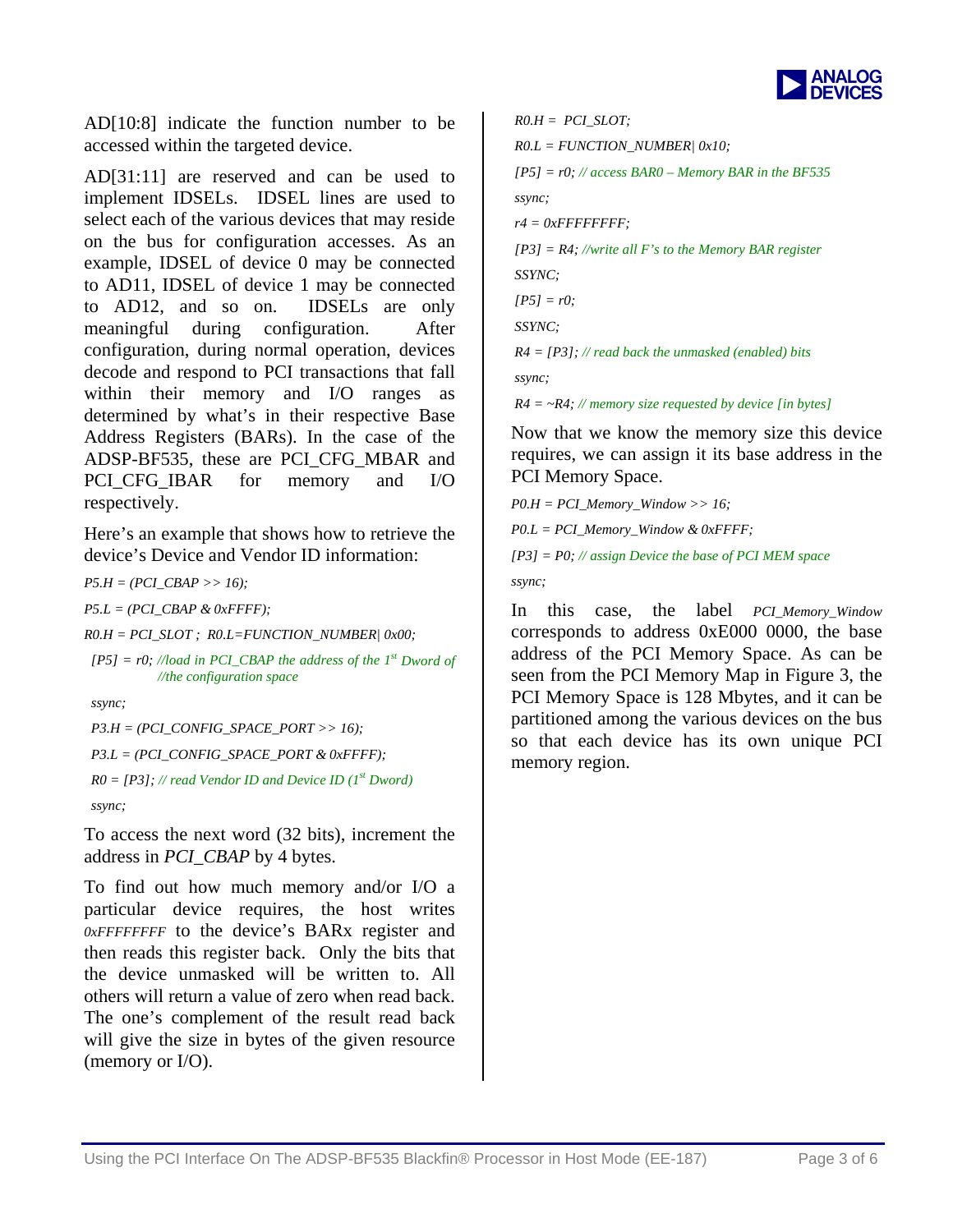

AD[10:8] indicate the function number to be accessed within the targeted device.

implement IDSELs. IDSEL lines are used to on the bus for configuration accesses. As an AD[31:11] are reserved and can be used to select each of the various devices that may reside example, IDSEL of device 0 may be connected to AD11, IDSEL of device 1 may be connected to AD12, and so on. IDSELs are only meaningful during configuration. After configuration, during normal operation, devices decode and respond to PCI transactions that fall within their memory and I/O ranges as determined by what's in their respective Base Address Registers (BARs). In the case of the ADSP-BF535, these are PCI\_CFG\_MBAR and PCI CFG IBAR for memory and I/O respectively.

Here's an example that shows how to retrieve the device's Device and Vendor ID information:

*P5.H = (PCI\_CBAP >> 16);* 

*P5.L = (PCI\_CBAP & 0xFFFF);* 

*R0.H = PCI\_SLOT ; R0.L=FUNCTION\_NUMBER| 0x00;* 

 $[PS] = r0$ ; //load in PCI\_CBAP the address of the 1<sup>st</sup> Dword of //the *configuration* space

 *ssync;* 

 $R0 = [P3]$ ; // read Vendor ID and Device ID (1<sup>st</sup> Dword)  *P3.H = (PCI\_CONFIG\_SPACE\_PORT >> 16); P3.L = (PCI\_CONFIG\_SPACE\_PORT & 0xFFFF);* 

 *ssync;* 

To access the next word (32 bits), increment the address in *PCI\_CBAP* by 4 bytes.

To find out how much memory and/or I/O a particular device requires, the host writes then reads this register back. Only the bits that *0xFFFFFFFF* to the device's BARx register and the device unmasked will be written to. All others will return a value of zero when read back. The one's complement of the result read back will give the size in bytes of the given resource (memory or I/O).

 $[PS] = r0$ ; // *access BAR0* – *Memory BAR in* the *BF535 ssync; r4 = 0xFFFFFFFF; [P3] = R4; //write all F's to the Memory BAR register SSYNC; [P5] = r0; SSYNC; R4 = [P3]; // read back the unmasked (enabled) bits ssync; R4 = ~R4; // memory size requested by device [in bytes] R0.H = PCI\_SLOT; R0.L = FUNCTION\_NUMBER| 0x10;* 

Now that we know the memory size this device requires, we can assign it its base address in the PCI Memory Space.

*P0.H = PCI\_Memory\_Window >> 16; P0.L = PCI\_Memory\_Window & 0xFFFF; [P3] = P0; // assign Device the base of PCI MEM space ssync;* 

In this case, the label *PCI\_Memory\_Window* corresponds to address 0xE000 0000, the base address of the PCI Memory Space. As can be seen from the PCI Memory Map in Figure 3, the PCI Memory Space is 128 Mbytes, and it can be partitioned among the various devices on the bus so that each device has its own unique PCI memory region.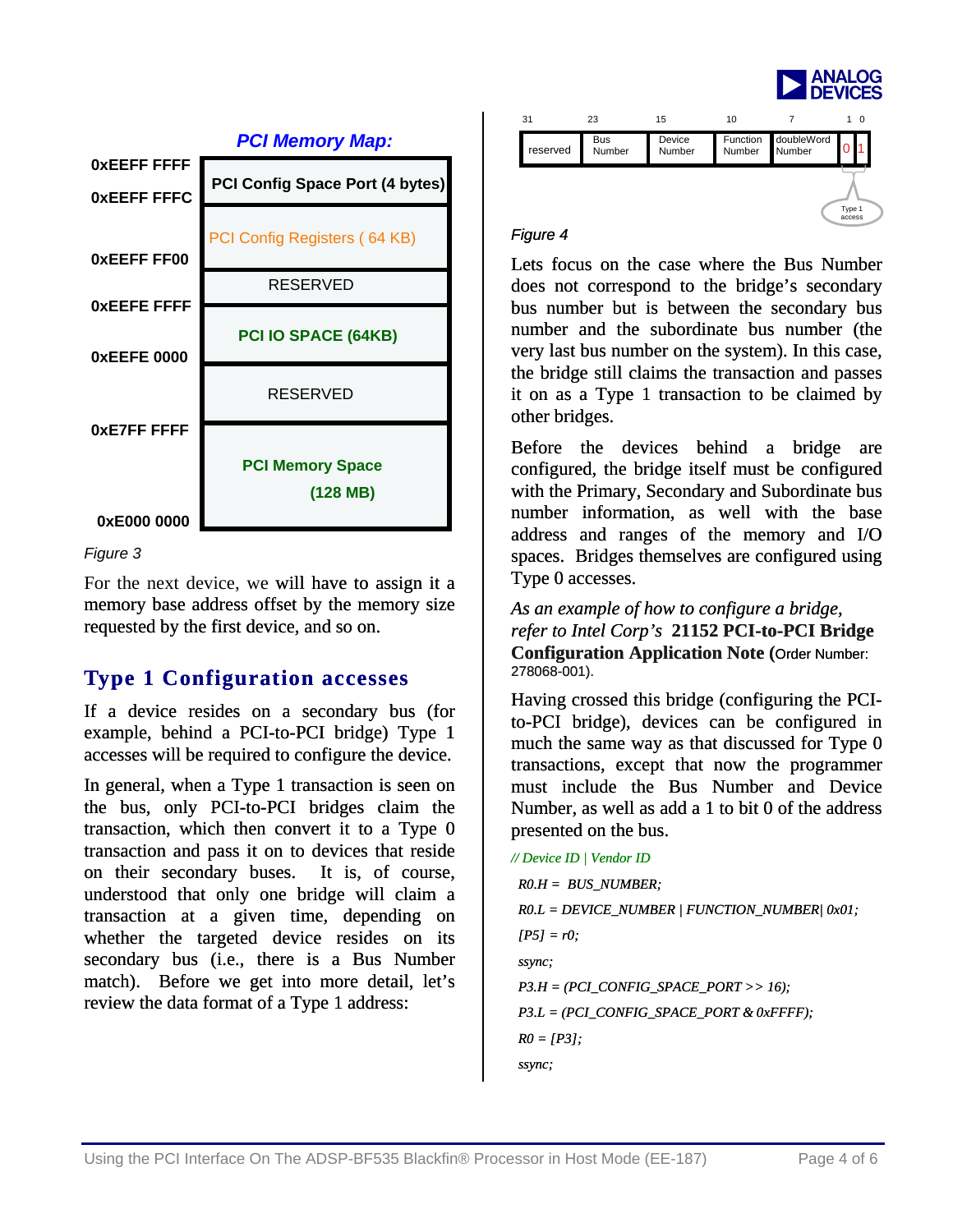



#### *Figure 3*

For the next device, we will have to assign it a memory base address offset by the memory size requested by the first device, and so on.

### **Type 1 Configuration accesses**

accesses will be required to configure the device. If a device resides on a secondary bus (for example, behind a PCI-to-PCI bridge) Type 1

In general, when a Type 1 transaction is seen on the bus, only PCI-to-PCI bridges claim the transaction, which then convert it to a Type 0 transaction and pass it on to devices that reside on their secondary buses. It is, of course, understood that only one bridge will claim a transaction at a given time, depending on whether the targeted device resides on its secondary bus (i.e., there is a Bus Number match). Before we get into more detail, let's review the data format of a Type 1 address:

| 31       | 23                   | 15               | 10     |                               | 10               |
|----------|----------------------|------------------|--------|-------------------------------|------------------|
| reserved | <b>Bus</b><br>Number | Device<br>Number | Number | Function doubleWord<br>Number |                  |
|          |                      |                  |        |                               | Type 1<br>access |

#### *Figure 4*

Lets focus on the case where the Bus Number does not correspond to the bridge's secondary bus number but is between the secondary bus number and the subordinate bus number (the very last bus number on the system). In this case, the bridge still claims the transaction and passes it on as a Type 1 transaction to be claimed by other bridges.

Before the devices behind a bridge are configured, the bridge itself must be configured with the Primary, Secondary and Subordinate bus number information, as well with the base address and ranges of the memory and I/O spaces. Bridges themselves are configured using Type 0 accesses.

**Bridge** *refer to Intel Corp's* **21152 PCI-to-PCI Configuration Application Note (**Order Number: *As an example of how to configure a bridge,*  278068-001).

Having crossed this bridge (configuring the PCIto-PCI bridge), devices can be configured in much the same way as that discussed for Type 0 transactions, except that now the programmer must include the Bus Number and Device Number, as well as add a 1 to bit 0 of the address presented on the bus.

```
 R0 = [P3]; 
  ssync; 
// Device ID | Vendor ID 
  R0.H = BUS_NUMBER; 
  R0.L = DEVICE_NUMBER | FUNCTION_NUMBER| 0x01; 
 [PS] = r0; ssync; 
  P3.H = (PCI_CONFIG_SPACE_PORT >> 16); 
  P3.L = (PCI_CONFIG_SPACE_PORT & 0xFFFF);
```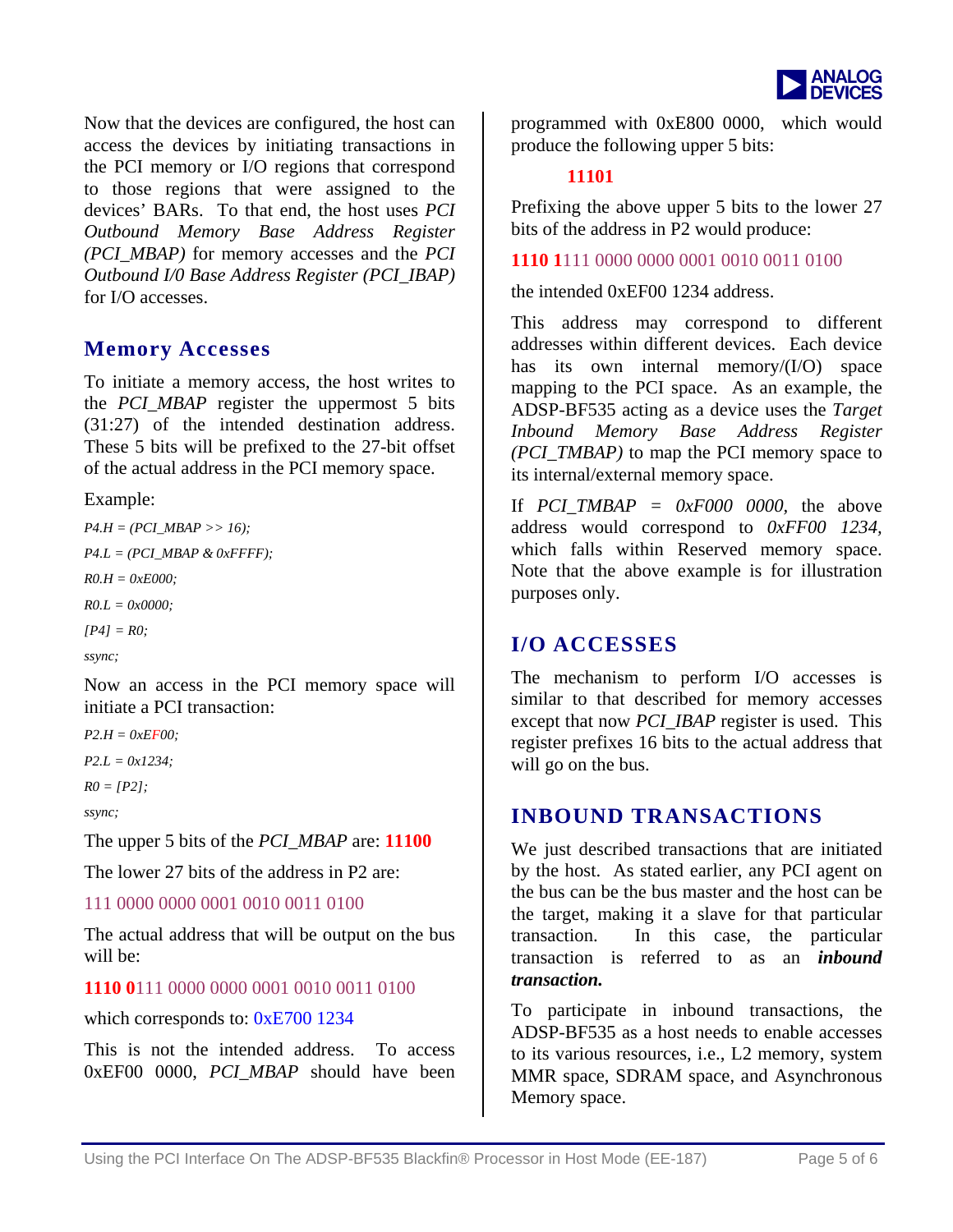

N ow that the devices are configured, the host can access the devices by initiating transactions in the PCI memory or I/O regions that correspond to those regions that were assigned to the devices' BARs. To that end, the host uses *PCI d Memory Base Address Register Outboun (PCI\_MBAP)* for memory accesses and the *PCI Outbound I/0 Base Address Register (PCI\_IBAP)* for I/O accesses.

### **Memory Accesses**

 $(31:27)$  of the intended destination address. To initiate a memory access, the host writes to the *PCI\_MBAP* register the uppermost 5 bits These 5 bits will be prefixed to the 27-bit offset of the actual address in the PCI memory space.

Example:

```
P4.H = (PCI_MBAP >> 16); 
P4.L = (PCI_MBAP & 0xFFFF); 
R0.H = 0xE000; 
R0.L = 0x0000; 
[P4] = R0;
ssync;
```
Now an access in the PCI memory space will initiate a PCI transaction:

*P2.H = 0xEF00;* 

*P2.L = 0x1234;* 

*R0 = [P2];* 

*ssync;* 

*PCI\_MBAP* are: **11100** The upper 5 bits of the

The lower 27 bits of the address in P2 are:

#### 111 0000 0000 0001 0010 0011 0100

The actual address that will be output on the bus will be:

#### **1110 0**111 0000 0000 0001 0010 0011 0100

which corresponds to: 0xE700 1234

This is not the intended address. To access 0xEF00 0000, PCI\_MBAP should have been

programmed with 0xE800 0000, which would produce the following upper 5 bits:

### **11101**

Prefixing the above upper 5 bits to the lower 27 bits of the address in P2 would produce:

**1110 1**111 0000 0000 0001 0010 0011 0100

the intended 0xEF00 1234 address.

This address may correspond to different addresses within different devices. Each device has its own internal memory/(I/O) space mapping to the PCI space. As an example, the ADSP-BF535 acting as a device uses the *Target Inbound Memory Base Address Register (PCI\_TMBAP)* to map the PCI memory space to its internal/external memory space.

If  $PCI\_TMBAP = 0xF000 0000$ , the above address would correspond to  $0xFF00$  1234, which falls within Reserved memory space. Note that the above example is for illustration purposes only.

### **I/O ACCESSES**

similar to that described for memory accesses except that now *PCI\_IBAP* register is used. This register prefixes 16 bits to the actual address that will go on the bus. The mechanism to perform I/O accesses is

### **INBOUND TRANSACTIONS**

We just described transactions that are initiated by the host. As stated earlier, any PCI agent on the bus can be the bus master and the host can be the target, making it a slave for that particular transaction is referred to as an *inbound* transaction. In this case, the particular *transaction.*

To participate in inbound transactions, the ADSP-BF535 as a host needs to enable accesses Memory space. to its various resources, i.e., L2 memory, system MMR space, SDRAM space, and Asynchronous